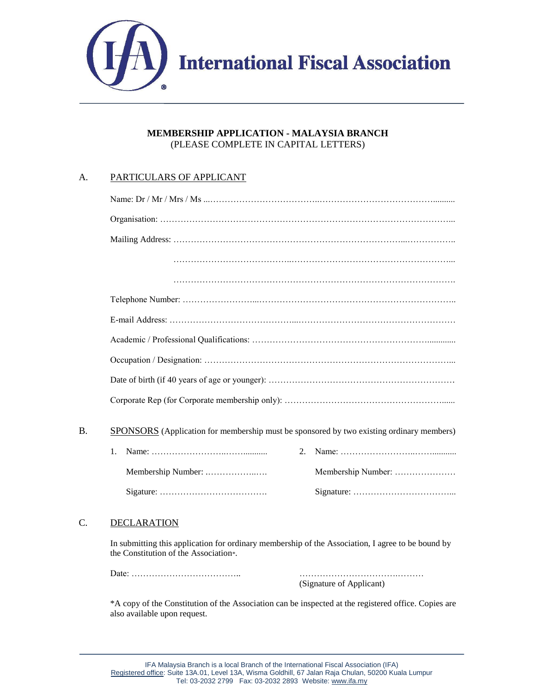

### **MEMBERSHIP APPLICATION - MALAYSIA BRANCH** (PLEASE COMPLETE IN CAPITAL LETTERS)

## A. PARTICULARS OF APPLICANT

| B. | <b>SPONSORS</b> (Application for membership must be sponsored by two existing ordinary members) |                    |
|----|-------------------------------------------------------------------------------------------------|--------------------|
|    | 1.<br>2.                                                                                        |                    |
|    |                                                                                                 | Membership Number: |
|    |                                                                                                 |                    |
|    |                                                                                                 |                    |

# C. DECLARATION

In submitting this application for ordinary membership of the Association, I agree to be bound by the Constitution of the Association\*.

Date: ……………………………….. …………………………….………

(Signature of Applicant)

\*A copy of the Constitution of the Association can be inspected at the registered office. Copies are also available upon request.